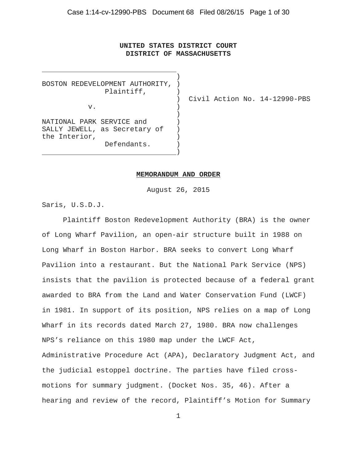# **UNITED STATES DISTRICT COURT DISTRICT OF MASSACHUSETTS**

)

BOSTON REDEVELOPMENT AUTHORITY, ) Plaintiff, )  $V.$  )  $)$ NATIONAL PARK SERVICE and ) SALLY JEWELL, as Secretary of ) the Interior, Defendants. )

) Civil Action No. 14-12990-PBS

#### **MEMORANDUM AND ORDER**

)

August 26, 2015

Saris, U.S.D.J.

Plaintiff Boston Redevelopment Authority (BRA) is the owner of Long Wharf Pavilion, an open-air structure built in 1988 on Long Wharf in Boston Harbor. BRA seeks to convert Long Wharf Pavilion into a restaurant. But the National Park Service (NPS) insists that the pavilion is protected because of a federal grant awarded to BRA from the Land and Water Conservation Fund (LWCF) in 1981. In support of its position, NPS relies on a map of Long Wharf in its records dated March 27, 1980. BRA now challenges NPS's reliance on this 1980 map under the LWCF Act, Administrative Procedure Act (APA), Declaratory Judgment Act, and the judicial estoppel doctrine. The parties have filed crossmotions for summary judgment. (Docket Nos. 35, 46). After a hearing and review of the record, Plaintiff's Motion for Summary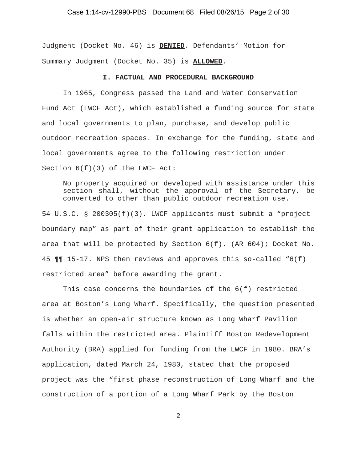### Case 1:14-cv-12990-PBS Document 68 Filed 08/26/15 Page 2 of 30

Judgment (Docket No. 46) is **DENIED**. Defendants' Motion for Summary Judgment (Docket No. 35) is **ALLOWED**.

#### **I. FACTUAL AND PROCEDURAL BACKGROUND**

In 1965, Congress passed the Land and Water Conservation Fund Act (LWCF Act), which established a funding source for state and local governments to plan, purchase, and develop public outdoor recreation spaces. In exchange for the funding, state and local governments agree to the following restriction under Section 6(f)(3) of the LWCF Act:

No property acquired or developed with assistance under this section shall, without the approval of the Secretary, be converted to other than public outdoor recreation use.

54 U.S.C. § 200305(f)(3). LWCF applicants must submit a "project boundary map" as part of their grant application to establish the area that will be protected by Section 6(f). (AR 604); Docket No. 45 ¶¶ 15-17. NPS then reviews and approves this so-called "6(f) restricted area" before awarding the grant.

This case concerns the boundaries of the 6(f) restricted area at Boston's Long Wharf. Specifically, the question presented is whether an open-air structure known as Long Wharf Pavilion falls within the restricted area. Plaintiff Boston Redevelopment Authority (BRA) applied for funding from the LWCF in 1980. BRA's application, dated March 24, 1980, stated that the proposed project was the "first phase reconstruction of Long Wharf and the construction of a portion of a Long Wharf Park by the Boston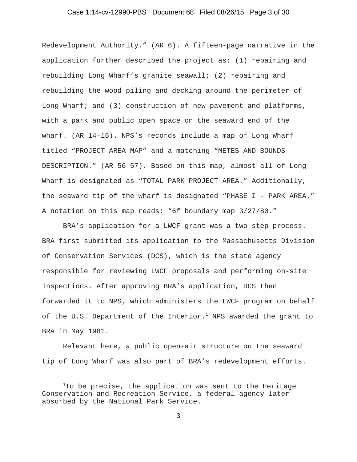### Case 1:14-cv-12990-PBS Document 68 Filed 08/26/15 Page 3 of 30

Redevelopment Authority." (AR 6). A fifteen-page narrative in the application further described the project as: (1) repairing and rebuilding Long Wharf's granite seawall; (2) repairing and rebuilding the wood piling and decking around the perimeter of Long Wharf; and (3) construction of new pavement and platforms, with a park and public open space on the seaward end of the wharf. (AR 14-15). NPS's records include a map of Long Wharf titled "PROJECT AREA MAP" and a matching "METES AND BOUNDS DESCRIPTION." (AR 56-57). Based on this map, almost all of Long Wharf is designated as "TOTAL PARK PROJECT AREA." Additionally, the seaward tip of the wharf is designated "PHASE I - PARK AREA." A notation on this map reads: "6f boundary map 3/27/80."

BRA's application for a LWCF grant was a two-step process. BRA first submitted its application to the Massachusetts Division of Conservation Services (DCS), which is the state agency responsible for reviewing LWCF proposals and performing on-site inspections. After approving BRA's application, DCS then forwarded it to NPS, which administers the LWCF program on behalf of the U.S. Department of the Interior.<sup>1</sup> NPS awarded the grant to BRA in May 1981.

Relevant here, a public open-air structure on the seaward tip of Long Wharf was also part of BRA's redevelopment efforts.

<sup>&</sup>lt;sup>1</sup>To be precise, the application was sent to the Heritage Conservation and Recreation Service, a federal agency later absorbed by the National Park Service.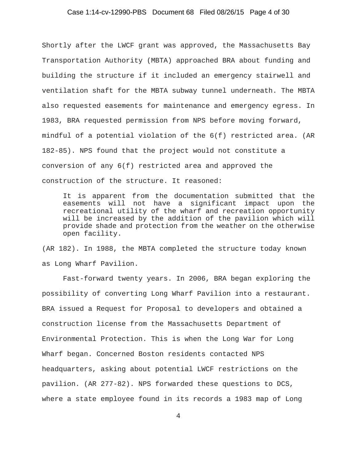### Case 1:14-cv-12990-PBS Document 68 Filed 08/26/15 Page 4 of 30

Shortly after the LWCF grant was approved, the Massachusetts Bay Transportation Authority (MBTA) approached BRA about funding and building the structure if it included an emergency stairwell and ventilation shaft for the MBTA subway tunnel underneath. The MBTA also requested easements for maintenance and emergency egress. In 1983, BRA requested permission from NPS before moving forward, mindful of a potential violation of the 6(f) restricted area. (AR 182-85). NPS found that the project would not constitute a conversion of any 6(f) restricted area and approved the construction of the structure. It reasoned:

It is apparent from the documentation submitted that the easements will not have a significant impact upon the recreational utility of the wharf and recreation opportunity will be increased by the addition of the pavilion which will provide shade and protection from the weather on the otherwise open facility.

(AR 182). In 1988, the MBTA completed the structure today known as Long Wharf Pavilion.

Fast-forward twenty years. In 2006, BRA began exploring the possibility of converting Long Wharf Pavilion into a restaurant. BRA issued a Request for Proposal to developers and obtained a construction license from the Massachusetts Department of Environmental Protection. This is when the Long War for Long Wharf began. Concerned Boston residents contacted NPS headquarters, asking about potential LWCF restrictions on the pavilion. (AR 277-82). NPS forwarded these questions to DCS, where a state employee found in its records a 1983 map of Long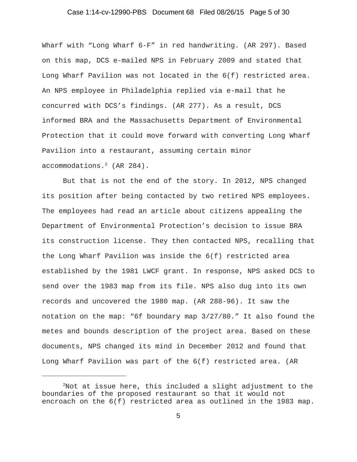### Case 1:14-cv-12990-PBS Document 68 Filed 08/26/15 Page 5 of 30

Wharf with "Long Wharf 6-F" in red handwriting. (AR 297). Based on this map, DCS e-mailed NPS in February 2009 and stated that Long Wharf Pavilion was not located in the 6(f) restricted area. An NPS employee in Philadelphia replied via e-mail that he concurred with DCS's findings. (AR 277). As a result, DCS informed BRA and the Massachusetts Department of Environmental Protection that it could move forward with converting Long Wharf Pavilion into a restaurant, assuming certain minor accommodations.<sup>2</sup> (AR 284).

But that is not the end of the story. In 2012, NPS changed its position after being contacted by two retired NPS employees. The employees had read an article about citizens appealing the Department of Environmental Protection's decision to issue BRA its construction license. They then contacted NPS, recalling that the Long Wharf Pavilion was inside the 6(f) restricted area established by the 1981 LWCF grant. In response, NPS asked DCS to send over the 1983 map from its file. NPS also dug into its own records and uncovered the 1980 map. (AR 288-96). It saw the notation on the map: "6f boundary map 3/27/80." It also found the metes and bounds description of the project area. Based on these documents, NPS changed its mind in December 2012 and found that Long Wharf Pavilion was part of the 6(f) restricted area. (AR

 $^{2}$ Not at issue here, this included a slight adjustment to the boundaries of the proposed restaurant so that it would not encroach on the 6(f) restricted area as outlined in the 1983 map.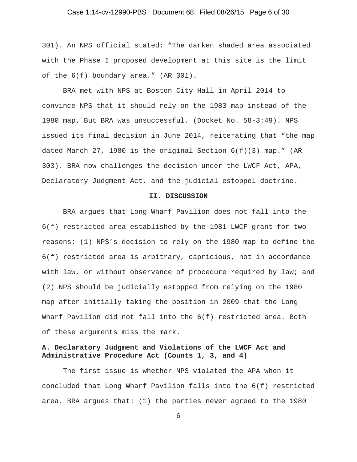### Case 1:14-cv-12990-PBS Document 68 Filed 08/26/15 Page 6 of 30

301). An NPS official stated: "The darken shaded area associated with the Phase I proposed development at this site is the limit of the 6(f) boundary area." (AR 301).

BRA met with NPS at Boston City Hall in April 2014 to convince NPS that it should rely on the 1983 map instead of the 1980 map. But BRA was unsuccessful. (Docket No. 58-3:49). NPS issued its final decision in June 2014, reiterating that "the map dated March 27, 1980 is the original Section  $6(f)(3)$  map." (AR 303). BRA now challenges the decision under the LWCF Act, APA, Declaratory Judgment Act, and the judicial estoppel doctrine.

#### **II. DISCUSSION**

BRA argues that Long Wharf Pavilion does not fall into the 6(f) restricted area established by the 1981 LWCF grant for two reasons: (1) NPS's decision to rely on the 1980 map to define the 6(f) restricted area is arbitrary, capricious, not in accordance with law, or without observance of procedure required by law; and (2) NPS should be judicially estopped from relying on the 1980 map after initially taking the position in 2009 that the Long Wharf Pavilion did not fall into the 6(f) restricted area. Both of these arguments miss the mark.

# **A. Declaratory Judgment and Violations of the LWCF Act and Administrative Procedure Act (Counts 1, 3, and 4)**

The first issue is whether NPS violated the APA when it concluded that Long Wharf Pavilion falls into the 6(f) restricted area. BRA argues that: (1) the parties never agreed to the 1980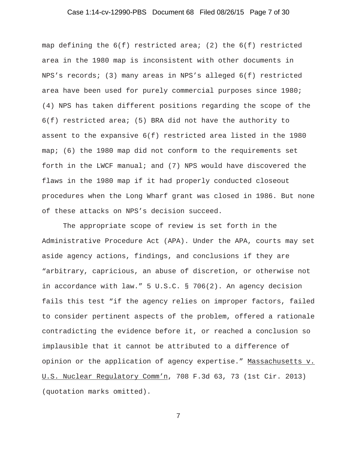### Case 1:14-cv-12990-PBS Document 68 Filed 08/26/15 Page 7 of 30

map defining the  $6(f)$  restricted area; (2) the  $6(f)$  restricted area in the 1980 map is inconsistent with other documents in NPS's records; (3) many areas in NPS's alleged 6(f) restricted area have been used for purely commercial purposes since 1980; (4) NPS has taken different positions regarding the scope of the 6(f) restricted area; (5) BRA did not have the authority to assent to the expansive 6(f) restricted area listed in the 1980 map; (6) the 1980 map did not conform to the requirements set forth in the LWCF manual; and (7) NPS would have discovered the flaws in the 1980 map if it had properly conducted closeout procedures when the Long Wharf grant was closed in 1986. But none of these attacks on NPS's decision succeed.

The appropriate scope of review is set forth in the Administrative Procedure Act (APA). Under the APA, courts may set aside agency actions, findings, and conclusions if they are "arbitrary, capricious, an abuse of discretion, or otherwise not in accordance with law." 5 U.S.C. § 706(2). An agency decision fails this test "if the agency relies on improper factors, failed to consider pertinent aspects of the problem, offered a rationale contradicting the evidence before it, or reached a conclusion so implausible that it cannot be attributed to a difference of opinion or the application of agency expertise." Massachusetts v. U.S. Nuclear Regulatory Comm'n, 708 F.3d 63, 73 (1st Cir. 2013) (quotation marks omitted).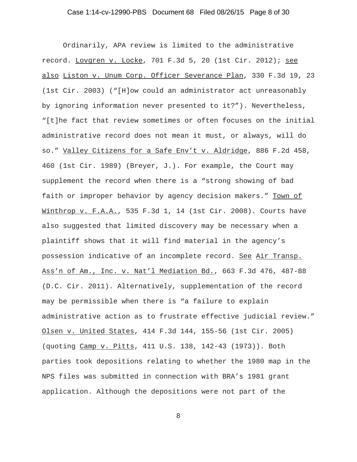### Case 1:14-cv-12990-PBS Document 68 Filed 08/26/15 Page 8 of 30

Ordinarily, APA review is limited to the administrative record. Lovgren v. Locke, 701 F.3d 5, 20 (1st Cir. 2012); see also Liston v. Unum Corp. Officer Severance Plan, 330 F.3d 19, 23 (1st Cir. 2003) ("[H]ow could an administrator act unreasonably by ignoring information never presented to it?"). Nevertheless, "[t]he fact that review sometimes or often focuses on the initial administrative record does not mean it must, or always, will do so." Valley Citizens for a Safe Env't v. Aldridge, 886 F.2d 458, 460 (1st Cir. 1989) (Breyer, J.). For example, the Court may supplement the record when there is a "strong showing of bad faith or improper behavior by agency decision makers." Town of Winthrop v. F.A.A., 535 F.3d 1, 14 (1st Cir. 2008). Courts have also suggested that limited discovery may be necessary when a plaintiff shows that it will find material in the agency's possession indicative of an incomplete record. See Air Transp. Ass'n of Am., Inc. v. Nat'l Mediation Bd., 663 F.3d 476, 487-88 (D.C. Cir. 2011). Alternatively, supplementation of the record may be permissible when there is "a failure to explain administrative action as to frustrate effective judicial review." Olsen v. United States, 414 F.3d 144, 155-56 (1st Cir. 2005) (quoting Camp v. Pitts, 411 U.S. 138, 142-43 (1973)). Both parties took depositions relating to whether the 1980 map in the NPS files was submitted in connection with BRA's 1981 grant application. Although the depositions were not part of the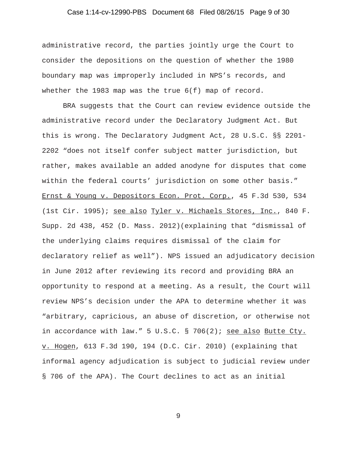### Case 1:14-cv-12990-PBS Document 68 Filed 08/26/15 Page 9 of 30

administrative record, the parties jointly urge the Court to consider the depositions on the question of whether the 1980 boundary map was improperly included in NPS's records, and whether the 1983 map was the true  $6(f)$  map of record.

BRA suggests that the Court can review evidence outside the administrative record under the Declaratory Judgment Act. But this is wrong. The Declaratory Judgment Act, 28 U.S.C. §§ 2201- 2202 "does not itself confer subject matter jurisdiction, but rather, makes available an added anodyne for disputes that come within the federal courts' jurisdiction on some other basis." Ernst & Young v. Depositors Econ. Prot. Corp., 45 F.3d 530, 534 (1st Cir. 1995); see also Tyler v. Michaels Stores, Inc., 840 F. Supp. 2d 438, 452 (D. Mass. 2012)(explaining that "dismissal of the underlying claims requires dismissal of the claim for declaratory relief as well"). NPS issued an adjudicatory decision in June 2012 after reviewing its record and providing BRA an opportunity to respond at a meeting. As a result, the Court will review NPS's decision under the APA to determine whether it was "arbitrary, capricious, an abuse of discretion, or otherwise not in accordance with law." 5 U.S.C. § 706(2); see also Butte Cty. v. Hogen, 613 F.3d 190, 194 (D.C. Cir. 2010) (explaining that informal agency adjudication is subject to judicial review under § 706 of the APA). The Court declines to act as an initial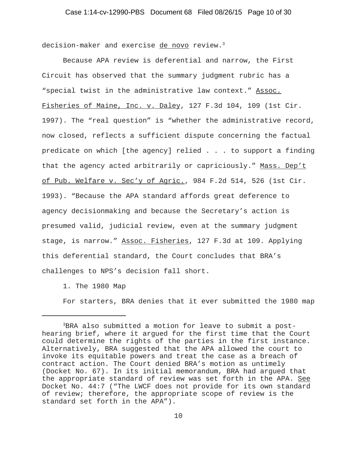decision-maker and exercise de novo review.<sup>3</sup>

Because APA review is deferential and narrow, the First Circuit has observed that the summary judgment rubric has a "special twist in the administrative law context." Assoc. Fisheries of Maine, Inc. v. Daley, 127 F.3d 104, 109 (1st Cir. 1997). The "real question" is "whether the administrative record, now closed, reflects a sufficient dispute concerning the factual predicate on which [the agency] relied . . . to support a finding that the agency acted arbitrarily or capriciously." Mass. Dep't of Pub. Welfare v. Sec'y of Agric., 984 F.2d 514, 526 (1st Cir. 1993). "Because the APA standard affords great deference to agency decisionmaking and because the Secretary's action is presumed valid, judicial review, even at the summary judgment stage, is narrow." Assoc. Fisheries, 127 F.3d at 109. Applying this deferential standard, the Court concludes that BRA's challenges to NPS's decision fall short.

1. The 1980 Map

For starters, BRA denies that it ever submitted the 1980 map

<sup>3</sup>BRA also submitted a motion for leave to submit a posthearing brief, where it argued for the first time that the Court could determine the rights of the parties in the first instance. Alternatively, BRA suggested that the APA allowed the court to invoke its equitable powers and treat the case as a breach of contract action. The Court denied BRA's motion as untimely (Docket No. 67). In its initial memorandum, BRA had argued that the appropriate standard of review was set forth in the APA. See Docket No. 44:7 ("The LWCF does not provide for its own standard of review; therefore, the appropriate scope of review is the standard set forth in the APA").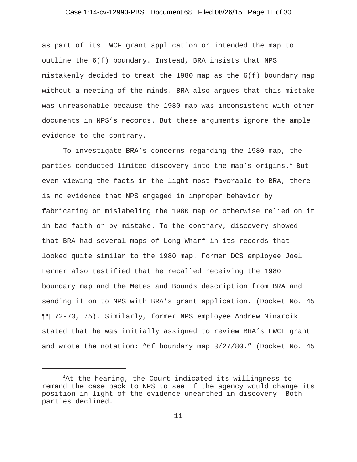# Case 1:14-cv-12990-PBS Document 68 Filed 08/26/15 Page 11 of 30

as part of its LWCF grant application or intended the map to outline the 6(f) boundary. Instead, BRA insists that NPS mistakenly decided to treat the 1980 map as the 6(f) boundary map without a meeting of the minds. BRA also argues that this mistake was unreasonable because the 1980 map was inconsistent with other documents in NPS's records. But these arguments ignore the ample evidence to the contrary.

To investigate BRA's concerns regarding the 1980 map, the parties conducted limited discovery into the map's origins. $^4$  But even viewing the facts in the light most favorable to BRA, there is no evidence that NPS engaged in improper behavior by fabricating or mislabeling the 1980 map or otherwise relied on it in bad faith or by mistake. To the contrary, discovery showed that BRA had several maps of Long Wharf in its records that looked quite similar to the 1980 map. Former DCS employee Joel Lerner also testified that he recalled receiving the 1980 boundary map and the Metes and Bounds description from BRA and sending it on to NPS with BRA's grant application. (Docket No. 45 ¶¶ 72-73, 75). Similarly, former NPS employee Andrew Minarcik stated that he was initially assigned to review BRA's LWCF grant and wrote the notation: "6f boundary map 3/27/80." (Docket No. 45

<sup>&</sup>lt;sup>4</sup>At the hearing, the Court indicated its willingness to remand the case back to NPS to see if the agency would change its position in light of the evidence unearthed in discovery. Both parties declined.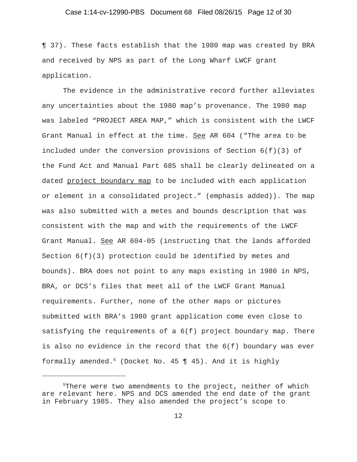### Case 1:14-cv-12990-PBS Document 68 Filed 08/26/15 Page 12 of 30

¶ 37). These facts establish that the 1980 map was created by BRA and received by NPS as part of the Long Wharf LWCF grant application.

The evidence in the administrative record further alleviates any uncertainties about the 1980 map's provenance. The 1980 map was labeled "PROJECT AREA MAP," which is consistent with the LWCF Grant Manual in effect at the time. See AR 604 ("The area to be included under the conversion provisions of Section  $6(f)(3)$  of the Fund Act and Manual Part 685 shall be clearly delineated on a dated project boundary map to be included with each application or element in a consolidated project." (emphasis added)). The map was also submitted with a metes and bounds description that was consistent with the map and with the requirements of the LWCF Grant Manual. See AR 604-05 (instructing that the lands afforded Section 6(f)(3) protection could be identified by metes and bounds). BRA does not point to any maps existing in 1980 in NPS, BRA, or DCS's files that meet all of the LWCF Grant Manual requirements. Further, none of the other maps or pictures submitted with BRA's 1980 grant application come even close to satisfying the requirements of a  $6(f)$  project boundary map. There is also no evidence in the record that the 6(f) boundary was ever formally amended.<sup>5</sup> (Docket No. 45  $\P$  45). And it is highly

<sup>5</sup> There were two amendments to the project, neither of which are relevant here. NPS and DCS amended the end date of the grant in February 1985. They also amended the project's scope to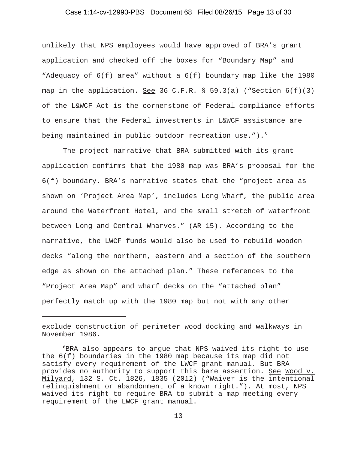#### Case 1:14-cv-12990-PBS Document 68 Filed 08/26/15 Page 13 of 30

unlikely that NPS employees would have approved of BRA's grant application and checked off the boxes for "Boundary Map" and "Adequacy of 6(f) area" without a 6(f) boundary map like the 1980 map in the application. See 36 C.F.R. § 59.3(a) ("Section  $6(f)(3)$ of the L&WCF Act is the cornerstone of Federal compliance efforts to ensure that the Federal investments in L&WCF assistance are being maintained in public outdoor recreation use."). $^{6}$ 

The project narrative that BRA submitted with its grant application confirms that the 1980 map was BRA's proposal for the 6(f) boundary. BRA's narrative states that the "project area as shown on 'Project Area Map', includes Long Wharf, the public area around the Waterfront Hotel, and the small stretch of waterfront between Long and Central Wharves." (AR 15). According to the narrative, the LWCF funds would also be used to rebuild wooden decks "along the northern, eastern and a section of the southern edge as shown on the attached plan." These references to the "Project Area Map" and wharf decks on the "attached plan" perfectly match up with the 1980 map but not with any other

exclude construction of perimeter wood docking and walkways in November 1986.

<sup>6</sup> BRA also appears to argue that NPS waived its right to use the 6(f) boundaries in the 1980 map because its map did not satisfy every requirement of the LWCF grant manual. But BRA provides no authority to support this bare assertion. See Wood v. Milyard, 132 S. Ct. 1826, 1835 (2012) ("Waiver is the intentional relinquishment or abandonment of a known right."). At most, NPS waived its right to require BRA to submit a map meeting every requirement of the LWCF grant manual.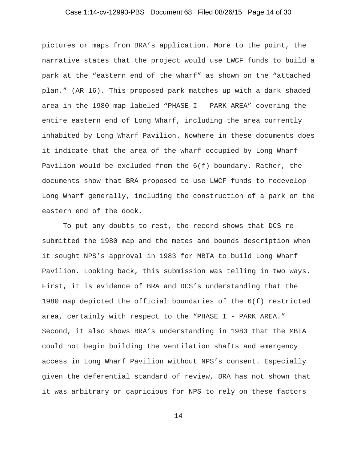### Case 1:14-cv-12990-PBS Document 68 Filed 08/26/15 Page 14 of 30

pictures or maps from BRA's application. More to the point, the narrative states that the project would use LWCF funds to build a park at the "eastern end of the wharf" as shown on the "attached plan." (AR 16). This proposed park matches up with a dark shaded area in the 1980 map labeled "PHASE I - PARK AREA" covering the entire eastern end of Long Wharf, including the area currently inhabited by Long Wharf Pavilion. Nowhere in these documents does it indicate that the area of the wharf occupied by Long Wharf Pavilion would be excluded from the 6(f) boundary. Rather, the documents show that BRA proposed to use LWCF funds to redevelop Long Wharf generally, including the construction of a park on the eastern end of the dock.

To put any doubts to rest, the record shows that DCS resubmitted the 1980 map and the metes and bounds description when it sought NPS's approval in 1983 for MBTA to build Long Wharf Pavilion. Looking back, this submission was telling in two ways. First, it is evidence of BRA and DCS's understanding that the 1980 map depicted the official boundaries of the 6(f) restricted area, certainly with respect to the "PHASE I - PARK AREA." Second, it also shows BRA's understanding in 1983 that the MBTA could not begin building the ventilation shafts and emergency access in Long Wharf Pavilion without NPS's consent. Especially given the deferential standard of review, BRA has not shown that it was arbitrary or capricious for NPS to rely on these factors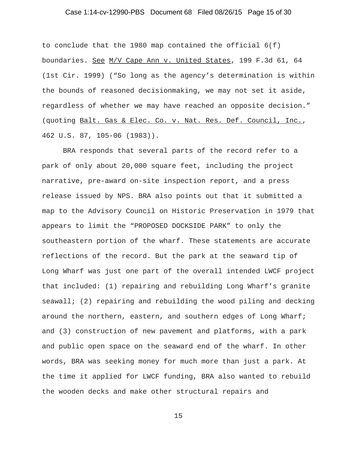### Case 1:14-cv-12990-PBS Document 68 Filed 08/26/15 Page 15 of 30

to conclude that the 1980 map contained the official 6(f) boundaries. See M/V Cape Ann v. United States, 199 F.3d 61, 64 (1st Cir. 1999) ("So long as the agency's determination is within the bounds of reasoned decisionmaking, we may not set it aside, regardless of whether we may have reached an opposite decision." (quoting Balt. Gas & Elec. Co. v. Nat. Res. Def. Council, Inc., 462 U.S. 87, 105-06 (1983)).

BRA responds that several parts of the record refer to a park of only about 20,000 square feet, including the project narrative, pre-award on-site inspection report, and a press release issued by NPS. BRA also points out that it submitted a map to the Advisory Council on Historic Preservation in 1979 that appears to limit the "PROPOSED DOCKSIDE PARK" to only the southeastern portion of the wharf. These statements are accurate reflections of the record. But the park at the seaward tip of Long Wharf was just one part of the overall intended LWCF project that included: (1) repairing and rebuilding Long Wharf's granite seawall; (2) repairing and rebuilding the wood piling and decking around the northern, eastern, and southern edges of Long Wharf; and (3) construction of new pavement and platforms, with a park and public open space on the seaward end of the wharf. In other words, BRA was seeking money for much more than just a park. At the time it applied for LWCF funding, BRA also wanted to rebuild the wooden decks and make other structural repairs and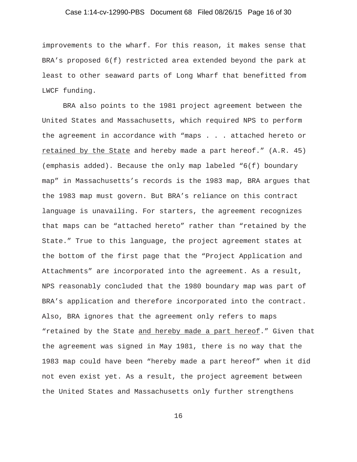### Case 1:14-cv-12990-PBS Document 68 Filed 08/26/15 Page 16 of 30

improvements to the wharf. For this reason, it makes sense that BRA's proposed 6(f) restricted area extended beyond the park at least to other seaward parts of Long Wharf that benefitted from LWCF funding.

BRA also points to the 1981 project agreement between the United States and Massachusetts, which required NPS to perform the agreement in accordance with "maps . . . attached hereto or retained by the State and hereby made a part hereof." (A.R. 45) (emphasis added). Because the only map labeled "6(f) boundary map" in Massachusetts's records is the 1983 map, BRA argues that the 1983 map must govern. But BRA's reliance on this contract language is unavailing. For starters, the agreement recognizes that maps can be "attached hereto" rather than "retained by the State." True to this language, the project agreement states at the bottom of the first page that the "Project Application and Attachments" are incorporated into the agreement. As a result, NPS reasonably concluded that the 1980 boundary map was part of BRA's application and therefore incorporated into the contract. Also, BRA ignores that the agreement only refers to maps "retained by the State and hereby made a part hereof." Given that the agreement was signed in May 1981, there is no way that the 1983 map could have been "hereby made a part hereof" when it did not even exist yet. As a result, the project agreement between the United States and Massachusetts only further strengthens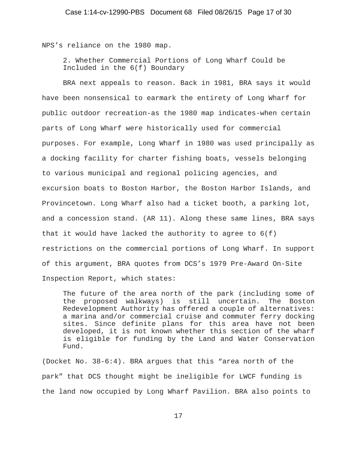NPS's reliance on the 1980 map.

2. Whether Commercial Portions of Long Wharf Could be Included in the 6(f) Boundary

BRA next appeals to reason. Back in 1981, BRA says it would have been nonsensical to earmark the entirety of Long Wharf for public outdoor recreation-as the 1980 map indicates-when certain parts of Long Wharf were historically used for commercial purposes. For example, Long Wharf in 1980 was used principally as a docking facility for charter fishing boats, vessels belonging to various municipal and regional policing agencies, and excursion boats to Boston Harbor, the Boston Harbor Islands, and Provincetown. Long Wharf also had a ticket booth, a parking lot, and a concession stand. (AR 11). Along these same lines, BRA says that it would have lacked the authority to agree to  $6(f)$ restrictions on the commercial portions of Long Wharf. In support of this argument, BRA quotes from DCS's 1979 Pre-Award On-Site Inspection Report, which states:

The future of the area north of the park (including some of the proposed walkways) is still uncertain. The Boston Redevelopment Authority has offered a couple of alternatives: a marina and/or commercial cruise and commuter ferry docking sites. Since definite plans for this area have not been developed, it is not known whether this section of the wharf is eligible for funding by the Land and Water Conservation Fund.

(Docket No. 38-6:4). BRA argues that this "area north of the park" that DCS thought might be ineligible for LWCF funding is the land now occupied by Long Wharf Pavilion. BRA also points to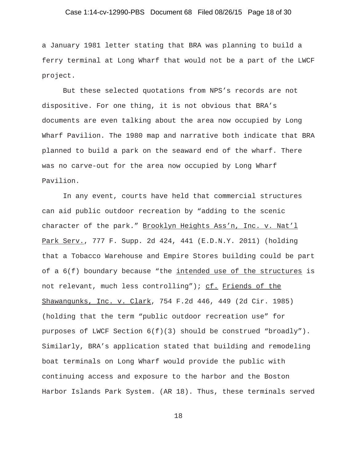### Case 1:14-cv-12990-PBS Document 68 Filed 08/26/15 Page 18 of 30

a January 1981 letter stating that BRA was planning to build a ferry terminal at Long Wharf that would not be a part of the LWCF project.

But these selected quotations from NPS's records are not dispositive. For one thing, it is not obvious that BRA's documents are even talking about the area now occupied by Long Wharf Pavilion. The 1980 map and narrative both indicate that BRA planned to build a park on the seaward end of the wharf. There was no carve-out for the area now occupied by Long Wharf Pavilion.

In any event, courts have held that commercial structures can aid public outdoor recreation by "adding to the scenic character of the park." Brooklyn Heights Ass'n, Inc. v. Nat'l Park Serv., 777 F. Supp. 2d 424, 441 (E.D.N.Y. 2011) (holding that a Tobacco Warehouse and Empire Stores building could be part of a  $6(f)$  boundary because "the intended use of the structures is not relevant, much less controlling"); cf. Friends of the Shawangunks, Inc. v. Clark, 754 F.2d 446, 449 (2d Cir. 1985) (holding that the term "public outdoor recreation use" for purposes of LWCF Section 6(f)(3) should be construed "broadly"). Similarly, BRA's application stated that building and remodeling boat terminals on Long Wharf would provide the public with continuing access and exposure to the harbor and the Boston Harbor Islands Park System. (AR 18). Thus, these terminals served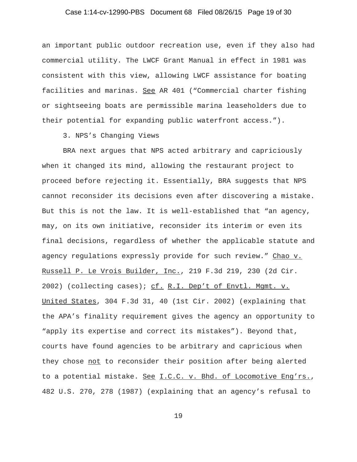### Case 1:14-cv-12990-PBS Document 68 Filed 08/26/15 Page 19 of 30

an important public outdoor recreation use, even if they also had commercial utility. The LWCF Grant Manual in effect in 1981 was consistent with this view, allowing LWCF assistance for boating facilities and marinas. See AR 401 ("Commercial charter fishing or sightseeing boats are permissible marina leaseholders due to their potential for expanding public waterfront access.").

3. NPS's Changing Views

BRA next argues that NPS acted arbitrary and capriciously when it changed its mind, allowing the restaurant project to proceed before rejecting it. Essentially, BRA suggests that NPS cannot reconsider its decisions even after discovering a mistake. But this is not the law. It is well-established that "an agency, may, on its own initiative, reconsider its interim or even its final decisions, regardless of whether the applicable statute and agency regulations expressly provide for such review." Chao v. Russell P. Le Vrois Builder, Inc., 219 F.3d 219, 230 (2d Cir. 2002) (collecting cases); cf. R.I. Dep't of Envtl. Mgmt. v. United States, 304 F.3d 31, 40 (1st Cir. 2002) (explaining that the APA's finality requirement gives the agency an opportunity to "apply its expertise and correct its mistakes"). Beyond that, courts have found agencies to be arbitrary and capricious when they chose not to reconsider their position after being alerted to a potential mistake. See I.C.C. v. Bhd. of Locomotive Eng'rs., 482 U.S. 270, 278 (1987) (explaining that an agency's refusal to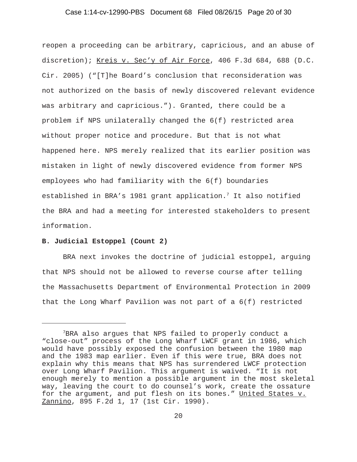#### Case 1:14-cv-12990-PBS Document 68 Filed 08/26/15 Page 20 of 30

reopen a proceeding can be arbitrary, capricious, and an abuse of discretion); Kreis v. Sec'y of Air Force, 406 F.3d 684, 688 (D.C. Cir. 2005) ("[T]he Board's conclusion that reconsideration was not authorized on the basis of newly discovered relevant evidence was arbitrary and capricious."). Granted, there could be a problem if NPS unilaterally changed the 6(f) restricted area without proper notice and procedure. But that is not what happened here. NPS merely realized that its earlier position was mistaken in light of newly discovered evidence from former NPS employees who had familiarity with the 6(f) boundaries established in BRA's 1981 grant application. $^7$  It also notified the BRA and had a meeting for interested stakeholders to present information.

#### **B. Judicial Estoppel (Count 2)**

BRA next invokes the doctrine of judicial estoppel, arguing that NPS should not be allowed to reverse course after telling the Massachusetts Department of Environmental Protection in 2009 that the Long Wharf Pavilion was not part of a 6(f) restricted

<sup>7</sup> BRA also argues that NPS failed to properly conduct a "close-out" process of the Long Wharf LWCF grant in 1986, which would have possibly exposed the confusion between the 1980 map and the 1983 map earlier. Even if this were true, BRA does not explain why this means that NPS has surrendered LWCF protection over Long Wharf Pavilion. This argument is waived. "It is not enough merely to mention a possible argument in the most skeletal way, leaving the court to do counsel's work, create the ossature for the argument, and put flesh on its bones." United States v. Zannino, 895 F.2d 1, 17 (1st Cir. 1990).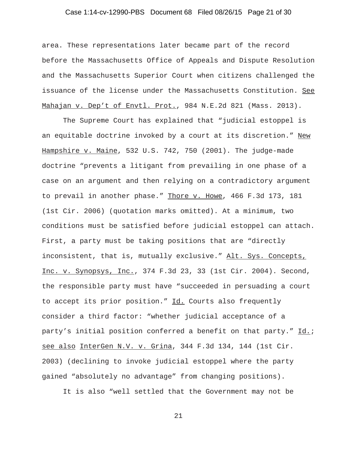### Case 1:14-cv-12990-PBS Document 68 Filed 08/26/15 Page 21 of 30

area. These representations later became part of the record before the Massachusetts Office of Appeals and Dispute Resolution and the Massachusetts Superior Court when citizens challenged the issuance of the license under the Massachusetts Constitution. See Mahajan v. Dep't of Envtl. Prot., 984 N.E.2d 821 (Mass. 2013).

The Supreme Court has explained that "judicial estoppel is an equitable doctrine invoked by a court at its discretion." New Hampshire v. Maine, 532 U.S. 742, 750 (2001). The judge-made doctrine "prevents a litigant from prevailing in one phase of a case on an argument and then relying on a contradictory argument to prevail in another phase." Thore v. Howe, 466 F.3d 173, 181 (1st Cir. 2006) (quotation marks omitted). At a minimum, two conditions must be satisfied before judicial estoppel can attach. First, a party must be taking positions that are "directly inconsistent, that is, mutually exclusive." Alt. Sys. Concepts, Inc. v. Synopsys, Inc., 374 F.3d 23, 33 (1st Cir. 2004). Second, the responsible party must have "succeeded in persuading a court to accept its prior position." Id. Courts also frequently consider a third factor: "whether judicial acceptance of a party's initial position conferred a benefit on that party." Id.; see also InterGen N.V. v. Grina, 344 F.3d 134, 144 (1st Cir. 2003) (declining to invoke judicial estoppel where the party gained "absolutely no advantage" from changing positions).

It is also "well settled that the Government may not be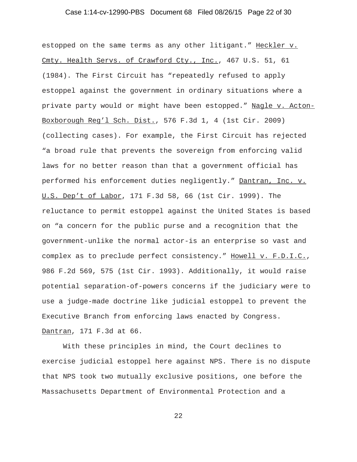### Case 1:14-cv-12990-PBS Document 68 Filed 08/26/15 Page 22 of 30

estopped on the same terms as any other litigant." Heckler v. Cmty. Health Servs. of Crawford Cty., Inc., 467 U.S. 51, 61 (1984). The First Circuit has "repeatedly refused to apply estoppel against the government in ordinary situations where a private party would or might have been estopped." Nagle v. Acton-Boxborough Reg'l Sch. Dist., 576 F.3d 1, 4 (1st Cir. 2009) (collecting cases). For example, the First Circuit has rejected "a broad rule that prevents the sovereign from enforcing valid laws for no better reason than that a government official has performed his enforcement duties negligently." Dantran, Inc. v. U.S. Dep't of Labor, 171 F.3d 58, 66 (1st Cir. 1999). The reluctance to permit estoppel against the United States is based on "a concern for the public purse and a recognition that the government-unlike the normal actor-is an enterprise so vast and complex as to preclude perfect consistency." Howell v. F.D.I.C., 986 F.2d 569, 575 (1st Cir. 1993). Additionally, it would raise potential separation-of-powers concerns if the judiciary were to use a judge-made doctrine like judicial estoppel to prevent the Executive Branch from enforcing laws enacted by Congress. Dantran, 171 F.3d at 66.

With these principles in mind, the Court declines to exercise judicial estoppel here against NPS. There is no dispute that NPS took two mutually exclusive positions, one before the Massachusetts Department of Environmental Protection and a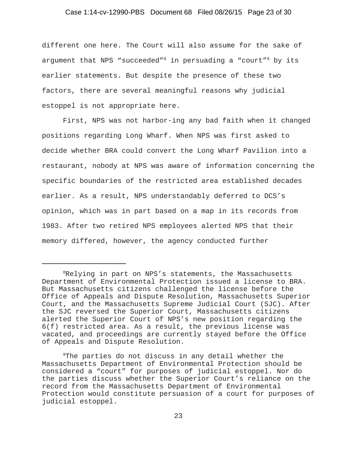#### Case 1:14-cv-12990-PBS Document 68 Filed 08/26/15 Page 23 of 30

different one here. The Court will also assume for the sake of argument that NPS "succeeded"<sup>8</sup> in persuading a "court"<sup>9</sup> by its earlier statements. But despite the presence of these two factors, there are several meaningful reasons why judicial estoppel is not appropriate here.

First, NPS was not harbor-ing any bad faith when it changed positions regarding Long Wharf. When NPS was first asked to decide whether BRA could convert the Long Wharf Pavilion into a restaurant, nobody at NPS was aware of information concerning the specific boundaries of the restricted area established decades earlier. As a result, NPS understandably deferred to DCS's opinion, which was in part based on a map in its records from 1983. After two retired NPS employees alerted NPS that their memory differed, however, the agency conducted further

<sup>8</sup> Relying in part on NPS's statements, the Massachusetts Department of Environmental Protection issued a license to BRA. But Massachusetts citizens challenged the license before the Office of Appeals and Dispute Resolution, Massachusetts Superior Court, and the Massachusetts Supreme Judicial Court (SJC). After the SJC reversed the Superior Court, Massachusetts citizens alerted the Superior Court of NPS's new position regarding the 6(f) restricted area. As a result, the previous license was vacated, and proceedings are currently stayed before the Office of Appeals and Dispute Resolution.

<sup>&</sup>lt;sup>9</sup>The parties do not discuss in any detail whether the Massachusetts Department of Environmental Protection should be considered a "court" for purposes of judicial estoppel. Nor do the parties discuss whether the Superior Court's reliance on the record from the Massachusetts Department of Environmental Protection would constitute persuasion of a court for purposes of judicial estoppel.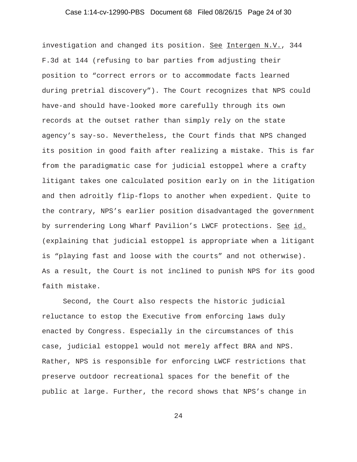### Case 1:14-cv-12990-PBS Document 68 Filed 08/26/15 Page 24 of 30

investigation and changed its position. See Intergen N.V., 344 F.3d at 144 (refusing to bar parties from adjusting their position to "correct errors or to accommodate facts learned during pretrial discovery"). The Court recognizes that NPS could have-and should have-looked more carefully through its own records at the outset rather than simply rely on the state agency's say-so. Nevertheless, the Court finds that NPS changed its position in good faith after realizing a mistake. This is far from the paradigmatic case for judicial estoppel where a crafty litigant takes one calculated position early on in the litigation and then adroitly flip-flops to another when expedient. Quite to the contrary, NPS's earlier position disadvantaged the government by surrendering Long Wharf Pavilion's LWCF protections. See id. (explaining that judicial estoppel is appropriate when a litigant is "playing fast and loose with the courts" and not otherwise). As a result, the Court is not inclined to punish NPS for its good faith mistake.

Second, the Court also respects the historic judicial reluctance to estop the Executive from enforcing laws duly enacted by Congress. Especially in the circumstances of this case, judicial estoppel would not merely affect BRA and NPS. Rather, NPS is responsible for enforcing LWCF restrictions that preserve outdoor recreational spaces for the benefit of the public at large. Further, the record shows that NPS's change in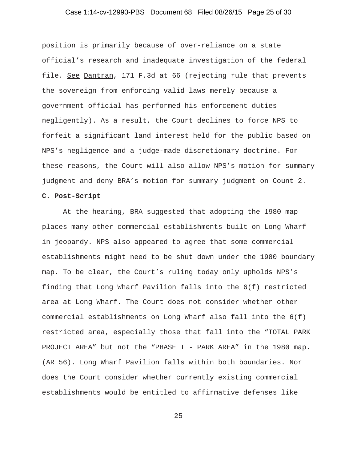### Case 1:14-cv-12990-PBS Document 68 Filed 08/26/15 Page 25 of 30

position is primarily because of over-reliance on a state official's research and inadequate investigation of the federal file. See Dantran, 171 F.3d at 66 (rejecting rule that prevents the sovereign from enforcing valid laws merely because a government official has performed his enforcement duties negligently). As a result, the Court declines to force NPS to forfeit a significant land interest held for the public based on NPS's negligence and a judge-made discretionary doctrine. For these reasons, the Court will also allow NPS's motion for summary judgment and deny BRA's motion for summary judgment on Count 2.

# **C. Post-Script**

At the hearing, BRA suggested that adopting the 1980 map places many other commercial establishments built on Long Wharf in jeopardy. NPS also appeared to agree that some commercial establishments might need to be shut down under the 1980 boundary map. To be clear, the Court's ruling today only upholds NPS's finding that Long Wharf Pavilion falls into the 6(f) restricted area at Long Wharf. The Court does not consider whether other commercial establishments on Long Wharf also fall into the 6(f) restricted area, especially those that fall into the "TOTAL PARK PROJECT AREA" but not the "PHASE I - PARK AREA" in the 1980 map. (AR 56). Long Wharf Pavilion falls within both boundaries. Nor does the Court consider whether currently existing commercial establishments would be entitled to affirmative defenses like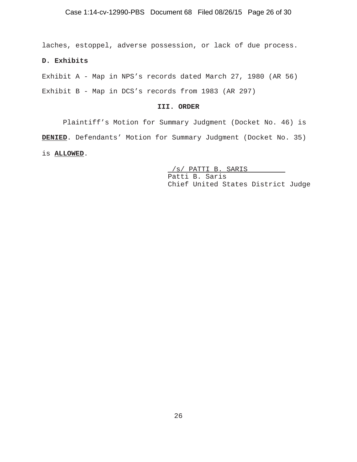laches, estoppel, adverse possession, or lack of due process.

## **D. Exhibits**

Exhibit A - Map in NPS's records dated March 27, 1980 (AR 56) Exhibit B - Map in DCS's records from 1983 (AR 297)

#### **III. ORDER**

Plaintiff's Motion for Summary Judgment (Docket No. 46) is **DENIED**. Defendants' Motion for Summary Judgment (Docket No. 35) is **ALLOWED**.

> /s/ PATTI B. SARIS Patti B. Saris Chief United States District Judge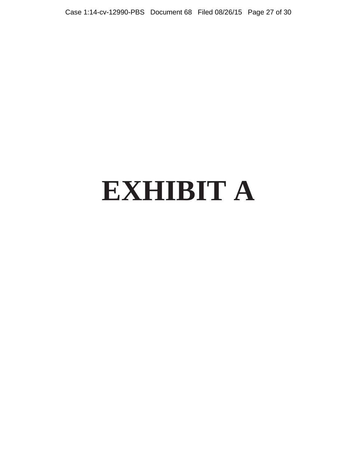Case 1:14-cv-12990-PBS Document 68 Filed 08/26/15 Page 27 of 30

# **EXHIBIT A**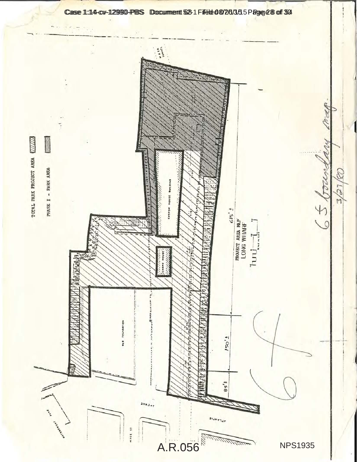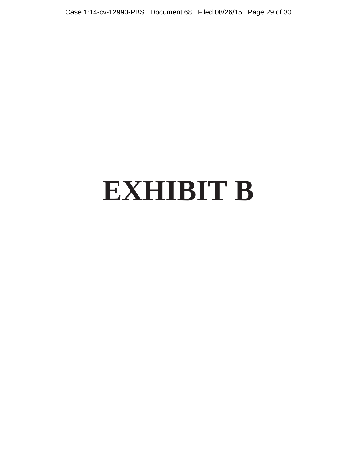Case 1:14-cv-12990-PBS Document 68 Filed 08/26/15 Page 29 of 30

# **EXHIBIT B**